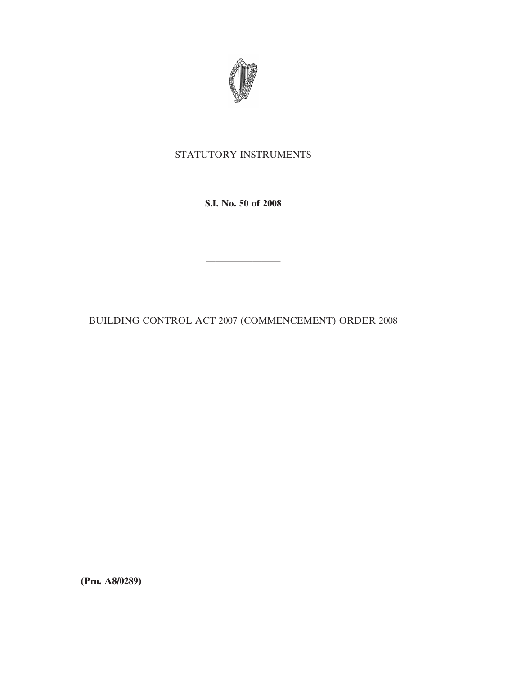

# STATUTORY INSTRUMENTS

**S.I. No. 50 of 2008**

BUILDING CONTROL ACT 2007 (COMMENCEMENT) ORDER 2008

————————

**(Prn. A8/0289)**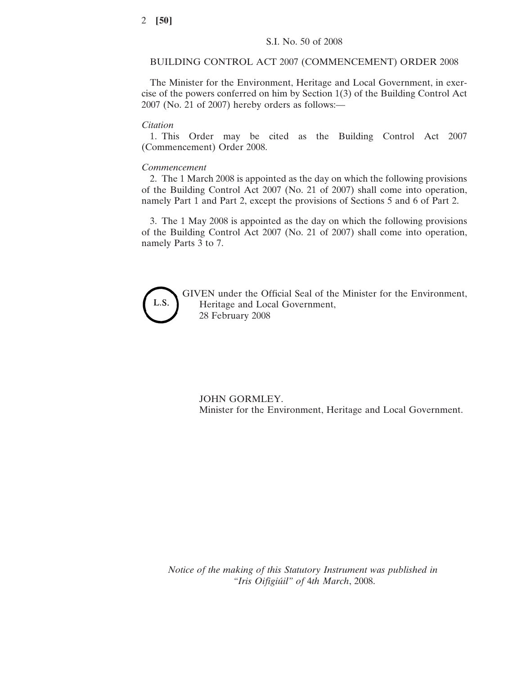## BUILDING CONTROL ACT 2007 (COMMENCEMENT) ORDER 2008

The Minister for the Environment, Heritage and Local Government, in exercise of the powers conferred on him by Section 1(3) of the Building Control Act 2007 (No. 21 of 2007) hereby orders as follows:—

#### *Citation*

1. This Order may be cited as the Building Control Act 2007 (Commencement) Order 2008.

### *Commencement*

2. The 1 March 2008 is appointed as the day on which the following provisions of the Building Control Act 2007 (No. 21 of 2007) shall come into operation, namely Part 1 and Part 2, except the provisions of Sections 5 and 6 of Part 2.

3. The 1 May 2008 is appointed as the day on which the following provisions of the Building Control Act 2007 (No. 21 of 2007) shall come into operation, namely Parts 3 to 7.



GIVEN under the Official Seal of the Minister for the Environment, Heritage and Local Government, 28 February 2008

JOHN GORMLEY. Minister for the Environment, Heritage and Local Government.

*Notice of the making of this Statutory Instrument was published in "Iris Oifigiu´il" of* 4*th March*, 2008.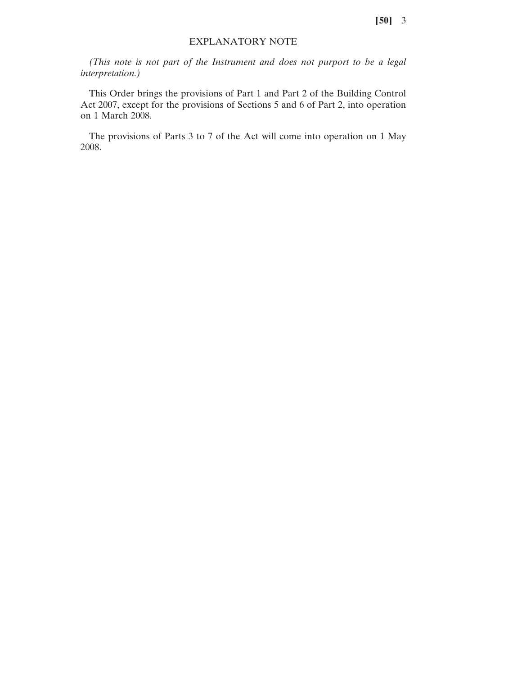**[50]** 3

## EXPLANATORY NOTE

*(This note is not part of the Instrument and does not purport to be a legal interpretation.)*

This Order brings the provisions of Part 1 and Part 2 of the Building Control Act 2007, except for the provisions of Sections 5 and 6 of Part 2, into operation on 1 March 2008.

The provisions of Parts 3 to 7 of the Act will come into operation on 1 May 2008.